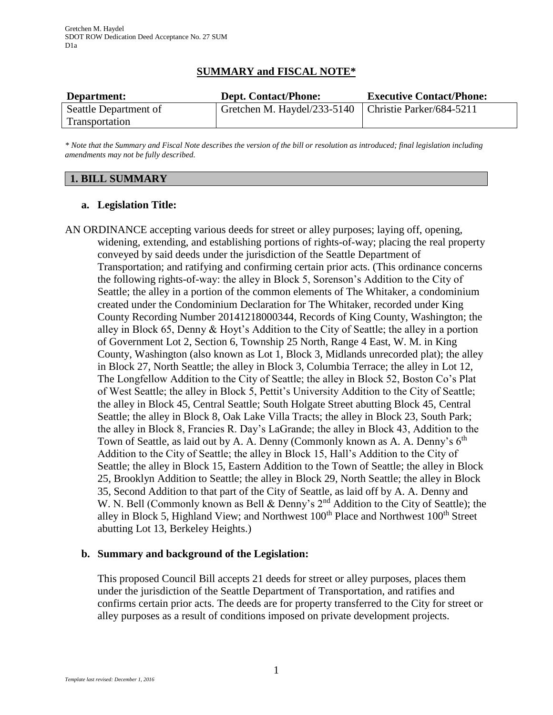# **SUMMARY and FISCAL NOTE\***

| Department:           | <b>Dept. Contact/Phone:</b>                            | <b>Executive Contact/Phone:</b> |
|-----------------------|--------------------------------------------------------|---------------------------------|
| Seattle Department of | Gretchen M. Haydel/233-5140   Christie Parker/684-5211 |                                 |
| Transportation        |                                                        |                                 |

*\* Note that the Summary and Fiscal Note describes the version of the bill or resolution as introduced; final legislation including amendments may not be fully described.*

## **1. BILL SUMMARY**

## **a. Legislation Title:**

AN ORDINANCE accepting various deeds for street or alley purposes; laying off, opening, widening, extending, and establishing portions of rights-of-way; placing the real property conveyed by said deeds under the jurisdiction of the Seattle Department of Transportation; and ratifying and confirming certain prior acts. (This ordinance concerns the following rights-of-way: the alley in Block 5, Sorenson's Addition to the City of Seattle; the alley in a portion of the common elements of The Whitaker, a condominium created under the Condominium Declaration for The Whitaker, recorded under King County Recording Number 20141218000344, Records of King County, Washington; the alley in Block 65, Denny & Hoyt's Addition to the City of Seattle; the alley in a portion of Government Lot 2, Section 6, Township 25 North, Range 4 East, W. M. in King County, Washington (also known as Lot 1, Block 3, Midlands unrecorded plat); the alley in Block 27, North Seattle; the alley in Block 3, Columbia Terrace; the alley in Lot 12, The Longfellow Addition to the City of Seattle; the alley in Block 52, Boston Co's Plat of West Seattle; the alley in Block 5, Pettit's University Addition to the City of Seattle; the alley in Block 45, Central Seattle; South Holgate Street abutting Block 45, Central Seattle; the alley in Block 8, Oak Lake Villa Tracts; the alley in Block 23, South Park; the alley in Block 8, Francies R. Day's LaGrande; the alley in Block 43, Addition to the Town of Seattle, as laid out by A. A. Denny (Commonly known as A. A. Denny's  $6<sup>th</sup>$ Addition to the City of Seattle; the alley in Block 15, Hall's Addition to the City of Seattle; the alley in Block 15, Eastern Addition to the Town of Seattle; the alley in Block 25, Brooklyn Addition to Seattle; the alley in Block 29, North Seattle; the alley in Block 35, Second Addition to that part of the City of Seattle, as laid off by A. A. Denny and W. N. Bell (Commonly known as Bell & Denny's 2<sup>nd</sup> Addition to the City of Seattle); the alley in Block 5, Highland View; and Northwest 100<sup>th</sup> Place and Northwest 100<sup>th</sup> Street abutting Lot 13, Berkeley Heights.)

# **b. Summary and background of the Legislation:**

This proposed Council Bill accepts 21 deeds for street or alley purposes, places them under the jurisdiction of the Seattle Department of Transportation, and ratifies and confirms certain prior acts. The deeds are for property transferred to the City for street or alley purposes as a result of conditions imposed on private development projects.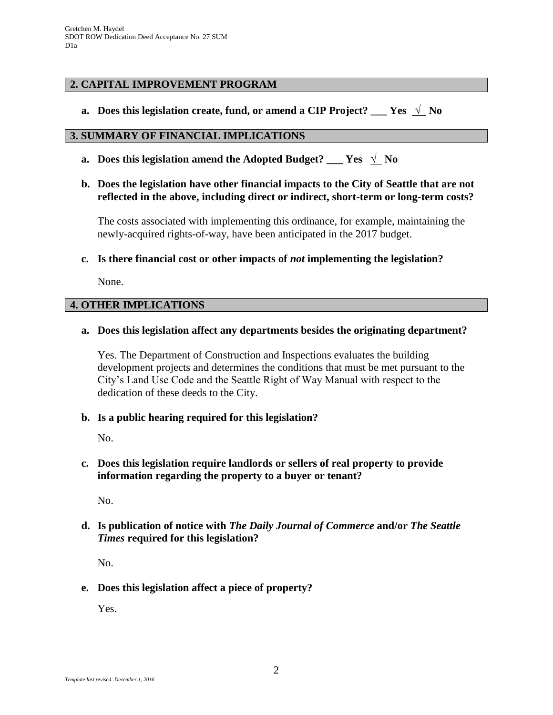## **2. CAPITAL IMPROVEMENT PROGRAM**

**a. Does this legislation create, fund, or amend a CIP Project? \_\_\_ Yes** √ **No**

#### **3. SUMMARY OF FINANCIAL IMPLICATIONS**

- **a.** Does this legislation amend the Adopted Budget? \_\_\_ Yes  $\sqrt{\ }$  No
- **b. Does the legislation have other financial impacts to the City of Seattle that are not reflected in the above, including direct or indirect, short-term or long-term costs?**

The costs associated with implementing this ordinance, for example, maintaining the newly-acquired rights-of-way, have been anticipated in the 2017 budget.

**c. Is there financial cost or other impacts of** *not* **implementing the legislation?**

None.

#### **4. OTHER IMPLICATIONS**

#### **a. Does this legislation affect any departments besides the originating department?**

Yes. The Department of Construction and Inspections evaluates the building development projects and determines the conditions that must be met pursuant to the City's Land Use Code and the Seattle Right of Way Manual with respect to the dedication of these deeds to the City.

**b. Is a public hearing required for this legislation?**

No.

**c. Does this legislation require landlords or sellers of real property to provide information regarding the property to a buyer or tenant?**

No.

**d. Is publication of notice with** *The Daily Journal of Commerce* **and/or** *The Seattle Times* **required for this legislation?**

No.

**e. Does this legislation affect a piece of property?**

Yes.